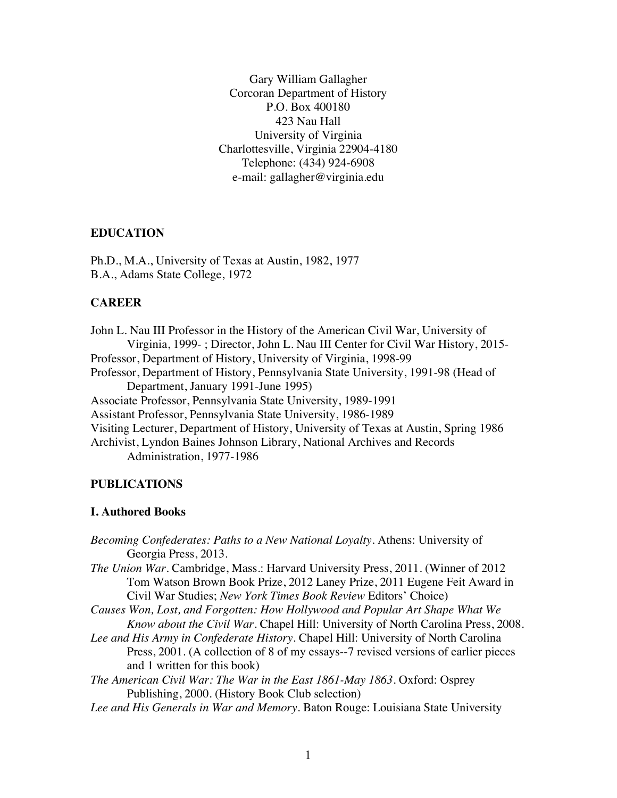Gary William Gallagher Corcoran Department of History P.O. Box 400180 423 Nau Hall University of Virginia Charlottesville, Virginia 22904-4180 Telephone: (434) 924-6908 e-mail: gallagher@virginia.edu

### **EDUCATION**

Ph.D., M.A., University of Texas at Austin, 1982, 1977 B.A., Adams State College, 1972

### **CAREER**

John L. Nau III Professor in the History of the American Civil War, University of Virginia, 1999- ; Director, John L. Nau III Center for Civil War History, 2015- Professor, Department of History, University of Virginia, 1998-99 Professor, Department of History, Pennsylvania State University, 1991-98 (Head of Department, January 1991-June 1995) Associate Professor, Pennsylvania State University, 1989-1991 Assistant Professor, Pennsylvania State University, 1986-1989 Visiting Lecturer, Department of History, University of Texas at Austin, Spring 1986 Archivist, Lyndon Baines Johnson Library, National Archives and Records Administration, 1977-1986

### **PUBLICATIONS**

### **I. Authored Books**

*Becoming Confederates: Paths to a New National Loyalty*. Athens: University of Georgia Press, 2013.

*The Union War*. Cambridge, Mass.: Harvard University Press, 2011. (Winner of 2012 Tom Watson Brown Book Prize, 2012 Laney Prize, 2011 Eugene Feit Award in Civil War Studies; *New York Times Book Review* Editors' Choice)

*Causes Won, Lost, and Forgotten: How Hollywood and Popular Art Shape What We Know about the Civil War.* Chapel Hill: University of North Carolina Press, 2008.

*Lee and His Army in Confederate History*. Chapel Hill: University of North Carolina Press, 2001. (A collection of 8 of my essays--7 revised versions of earlier pieces and 1 written for this book)

*The American Civil War: The War in the East 1861-May 1863*. Oxford: Osprey Publishing, 2000. (History Book Club selection)

*Lee and His Generals in War and Memory*. Baton Rouge: Louisiana State University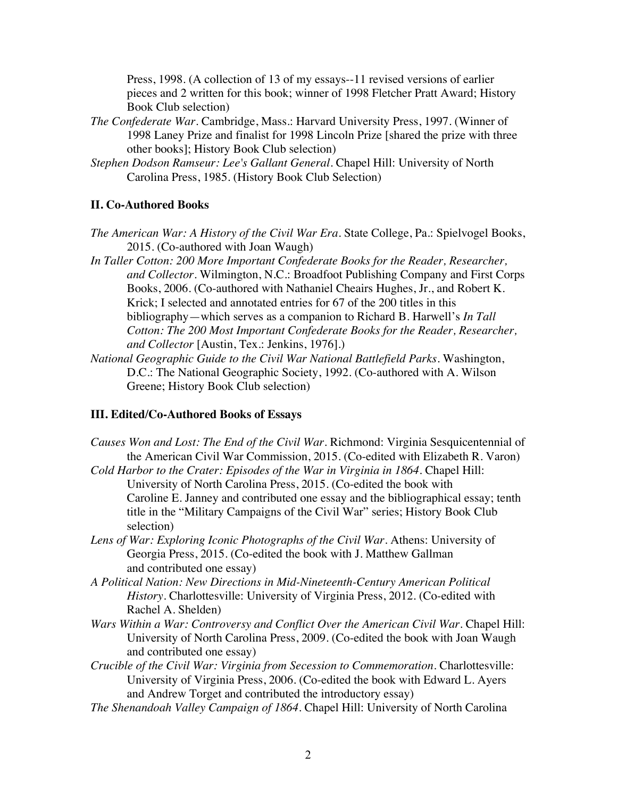Press, 1998. (A collection of 13 of my essays--11 revised versions of earlier pieces and 2 written for this book; winner of 1998 Fletcher Pratt Award; History Book Club selection)

- *The Confederate War*. Cambridge, Mass.: Harvard University Press, 1997. (Winner of 1998 Laney Prize and finalist for 1998 Lincoln Prize [shared the prize with three other books]; History Book Club selection)
- *Stephen Dodson Ramseur: Lee's Gallant General*. Chapel Hill: University of North Carolina Press, 1985. (History Book Club Selection)

# **II. Co-Authored Books**

- *The American War: A History of the Civil War Era. State College, Pa.: Spielvogel Books,* 2015. (Co-authored with Joan Waugh)
- *In Taller Cotton: 200 More Important Confederate Books for the Reader, Researcher, and Collector.* Wilmington, N.C.: Broadfoot Publishing Company and First Corps Books, 2006. (Co-authored with Nathaniel Cheairs Hughes, Jr., and Robert K. Krick; I selected and annotated entries for 67 of the 200 titles in this bibliography—which serves as a companion to Richard B. Harwell's *In Tall Cotton: The 200 Most Important Confederate Books for the Reader, Researcher, and Collector* [Austin, Tex.: Jenkins, 1976].)
- *National Geographic Guide to the Civil War National Battlefield Parks*. Washington, D.C.: The National Geographic Society, 1992. (Co-authored with A. Wilson Greene; History Book Club selection)

### **III. Edited/Co-Authored Books of Essays**

- *Causes Won and Lost: The End of the Civil War.* Richmond: Virginia Sesquicentennial of the American Civil War Commission, 2015. (Co-edited with Elizabeth R. Varon)
- *Cold Harbor to the Crater: Episodes of the War in Virginia in 1864*. Chapel Hill: University of North Carolina Press, 2015. (Co-edited the book with Caroline E. Janney and contributed one essay and the bibliographical essay; tenth title in the "Military Campaigns of the Civil War" series; History Book Club selection)
- Lens of War: Exploring Iconic Photographs of the Civil War. Athens: University of Georgia Press, 2015. (Co-edited the book with J. Matthew Gallman and contributed one essay)
- *A Political Nation: New Directions in Mid-Nineteenth-Century American Political History*. Charlottesville: University of Virginia Press, 2012. (Co-edited with Rachel A. Shelden)
- *Wars Within a War: Controversy and Conflict Over the American Civil War*. Chapel Hill: University of North Carolina Press, 2009. (Co-edited the book with Joan Waugh and contributed one essay)
- *Crucible of the Civil War: Virginia from Secession to Commemoration*. Charlottesville: University of Virginia Press, 2006. (Co-edited the book with Edward L. Ayers and Andrew Torget and contributed the introductory essay)
- *The Shenandoah Valley Campaign of 1864*. Chapel Hill: University of North Carolina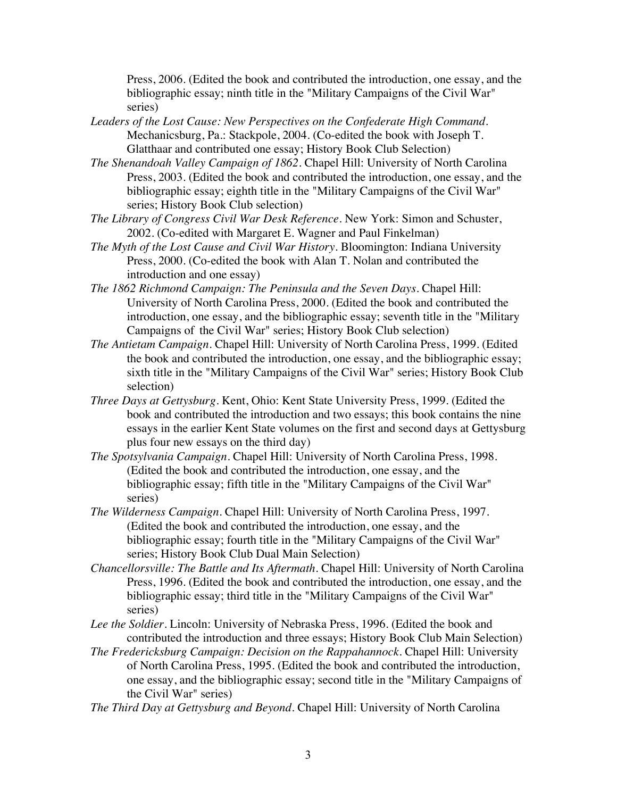Press, 2006. (Edited the book and contributed the introduction, one essay, and the bibliographic essay; ninth title in the "Military Campaigns of the Civil War" series)

- *Leaders of the Lost Cause: New Perspectives on the Confederate High Command*. Mechanicsburg, Pa.: Stackpole, 2004. (Co-edited the book with Joseph T. Glatthaar and contributed one essay; History Book Club Selection)
- *The Shenandoah Valley Campaign of 1862*. Chapel Hill: University of North Carolina Press, 2003. (Edited the book and contributed the introduction, one essay, and the bibliographic essay; eighth title in the "Military Campaigns of the Civil War" series; History Book Club selection)
- *The Library of Congress Civil War Desk Reference*. New York: Simon and Schuster, 2002. (Co-edited with Margaret E. Wagner and Paul Finkelman)
- *The Myth of the Lost Cause and Civil War History*. Bloomington: Indiana University Press, 2000. (Co-edited the book with Alan T. Nolan and contributed the introduction and one essay)
- *The 1862 Richmond Campaign: The Peninsula and the Seven Days*. Chapel Hill: University of North Carolina Press, 2000. (Edited the book and contributed the introduction, one essay, and the bibliographic essay; seventh title in the "Military Campaigns of the Civil War" series; History Book Club selection)
- *The Antietam Campaign*. Chapel Hill: University of North Carolina Press, 1999. (Edited the book and contributed the introduction, one essay, and the bibliographic essay; sixth title in the "Military Campaigns of the Civil War" series; History Book Club selection)
- *Three Days at Gettysburg*. Kent, Ohio: Kent State University Press, 1999. (Edited the book and contributed the introduction and two essays; this book contains the nine essays in the earlier Kent State volumes on the first and second days at Gettysburg plus four new essays on the third day)
- *The Spotsylvania Campaign*. Chapel Hill: University of North Carolina Press, 1998. (Edited the book and contributed the introduction, one essay, and the bibliographic essay; fifth title in the "Military Campaigns of the Civil War" series)
- *The Wilderness Campaign*. Chapel Hill: University of North Carolina Press, 1997. (Edited the book and contributed the introduction, one essay, and the bibliographic essay; fourth title in the "Military Campaigns of the Civil War" series; History Book Club Dual Main Selection)
- *Chancellorsville: The Battle and Its Aftermath*. Chapel Hill: University of North Carolina Press, 1996. (Edited the book and contributed the introduction, one essay, and the bibliographic essay; third title in the "Military Campaigns of the Civil War" series)
- *Lee the Soldier*. Lincoln: University of Nebraska Press, 1996. (Edited the book and contributed the introduction and three essays; History Book Club Main Selection)
- *The Fredericksburg Campaign: Decision on the Rappahannock*. Chapel Hill: University of North Carolina Press, 1995. (Edited the book and contributed the introduction, one essay, and the bibliographic essay; second title in the "Military Campaigns of the Civil War" series)
- *The Third Day at Gettysburg and Beyond*. Chapel Hill: University of North Carolina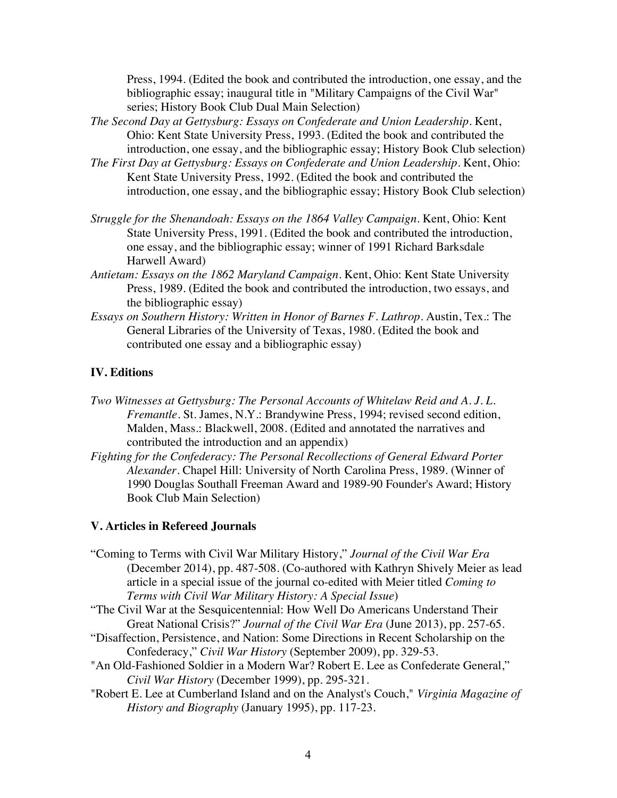Press, 1994. (Edited the book and contributed the introduction, one essay, and the bibliographic essay; inaugural title in "Military Campaigns of the Civil War" series; History Book Club Dual Main Selection)

- *The Second Day at Gettysburg: Essays on Confederate and Union Leadership*. Kent, Ohio: Kent State University Press, 1993. (Edited the book and contributed the introduction, one essay, and the bibliographic essay; History Book Club selection)
- *The First Day at Gettysburg: Essays on Confederate and Union Leadership*. Kent, Ohio: Kent State University Press, 1992. (Edited the book and contributed the introduction, one essay, and the bibliographic essay; History Book Club selection)
- *Struggle for the Shenandoah: Essays on the 1864 Valley Campaign*. Kent, Ohio: Kent State University Press, 1991. (Edited the book and contributed the introduction, one essay, and the bibliographic essay; winner of 1991 Richard Barksdale Harwell Award)
- *Antietam: Essays on the 1862 Maryland Campaign*. Kent, Ohio: Kent State University Press, 1989. (Edited the book and contributed the introduction, two essays, and the bibliographic essay)
- *Essays on Southern History: Written in Honor of Barnes F. Lathrop*. Austin, Tex.: The General Libraries of the University of Texas, 1980. (Edited the book and contributed one essay and a bibliographic essay)

# **IV. Editions**

- *Two Witnesses at Gettysburg: The Personal Accounts of Whitelaw Reid and A. J. L. Fremantle*. St. James, N.Y.: Brandywine Press, 1994; revised second edition, Malden, Mass.: Blackwell, 2008. (Edited and annotated the narratives and contributed the introduction and an appendix)
- *Fighting for the Confederacy: The Personal Recollections of General Edward Porter Alexander*. Chapel Hill: University of North Carolina Press, 1989. (Winner of 1990 Douglas Southall Freeman Award and 1989-90 Founder's Award; History Book Club Main Selection)

### **V. Articles in Refereed Journals**

"Coming to Terms with Civil War Military History," *Journal of the Civil War Era* (December 2014), pp. 487-508. (Co-authored with Kathryn Shively Meier as lead article in a special issue of the journal co-edited with Meier titled *Coming to Terms with Civil War Military History: A Special Issue*)

"The Civil War at the Sesquicentennial: How Well Do Americans Understand Their Great National Crisis?" *Journal of the Civil War Era* (June 2013), pp. 257-65.

- "Disaffection, Persistence, and Nation: Some Directions in Recent Scholarship on the Confederacy," *Civil War History* (September 2009), pp. 329-53.
- "An Old-Fashioned Soldier in a Modern War? Robert E. Lee as Confederate General," *Civil War History* (December 1999), pp. 295-321.
- "Robert E. Lee at Cumberland Island and on the Analyst's Couch," *Virginia Magazine of History and Biography* (January 1995), pp. 117-23.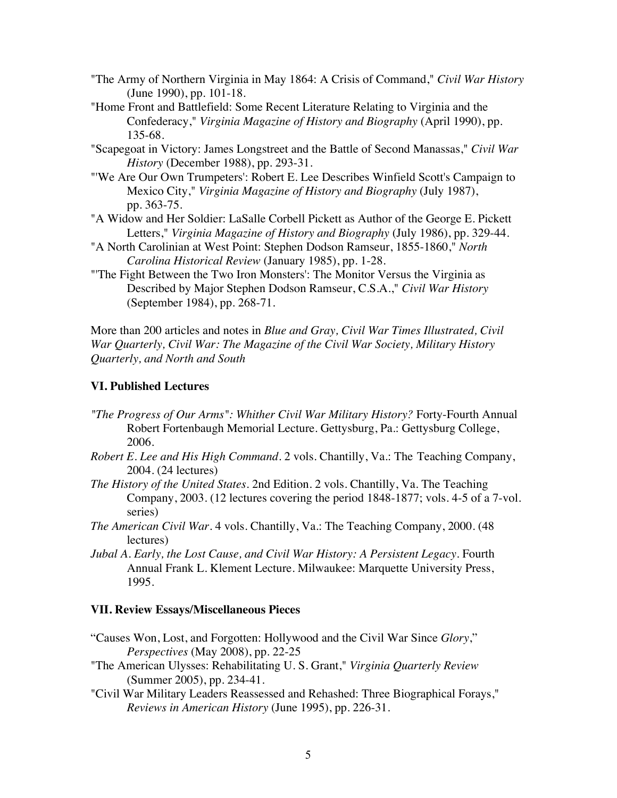- "The Army of Northern Virginia in May 1864: A Crisis of Command," *Civil War History* (June 1990), pp. 101-18.
- "Home Front and Battlefield: Some Recent Literature Relating to Virginia and the Confederacy," *Virginia Magazine of History and Biography* (April 1990), pp. 135-68.
- "Scapegoat in Victory: James Longstreet and the Battle of Second Manassas," *Civil War History* (December 1988), pp. 293-31.
- "'We Are Our Own Trumpeters': Robert E. Lee Describes Winfield Scott's Campaign to Mexico City," *Virginia Magazine of History and Biography* (July 1987), pp. 363-75.
- "A Widow and Her Soldier: LaSalle Corbell Pickett as Author of the George E. Pickett Letters," *Virginia Magazine of History and Biography* (July 1986), pp. 329-44.
- "A North Carolinian at West Point: Stephen Dodson Ramseur, 1855-1860," *North Carolina Historical Review* (January 1985), pp. 1-28.
- "'The Fight Between the Two Iron Monsters': The Monitor Versus the Virginia as Described by Major Stephen Dodson Ramseur, C.S.A.," *Civil War History* (September 1984), pp. 268-71.

More than 200 articles and notes in *Blue and Gray, Civil War Times Illustrated, Civil War Quarterly, Civil War: The Magazine of the Civil War Society, Military History Quarterly, and North and South*

### **VI. Published Lectures**

- *"The Progress of Our Arms": Whither Civil War Military History?* Forty-Fourth Annual Robert Fortenbaugh Memorial Lecture. Gettysburg, Pa.: Gettysburg College, 2006.
- *Robert E. Lee and His High Command*. 2 vols. Chantilly, Va.: The Teaching Company, 2004. (24 lectures)
- *The History of the United States*. 2nd Edition. 2 vols. Chantilly, Va. The Teaching Company, 2003. (12 lectures covering the period 1848-1877; vols. 4-5 of a 7-vol. series)
- *The American Civil War*. 4 vols. Chantilly, Va.: The Teaching Company, 2000. (48 lectures)
- *Jubal A. Early, the Lost Cause, and Civil War History: A Persistent Legacy*. Fourth Annual Frank L. Klement Lecture. Milwaukee: Marquette University Press, 1995.

#### **VII. Review Essays/Miscellaneous Pieces**

- "Causes Won, Lost, and Forgotten: Hollywood and the Civil War Since *Glory*," *Perspectives* (May 2008), pp. 22-25
- "The American Ulysses: Rehabilitating U. S. Grant," *Virginia Quarterly Review* (Summer 2005), pp. 234-41.
- "Civil War Military Leaders Reassessed and Rehashed: Three Biographical Forays," *Reviews in American History* (June 1995), pp. 226-31.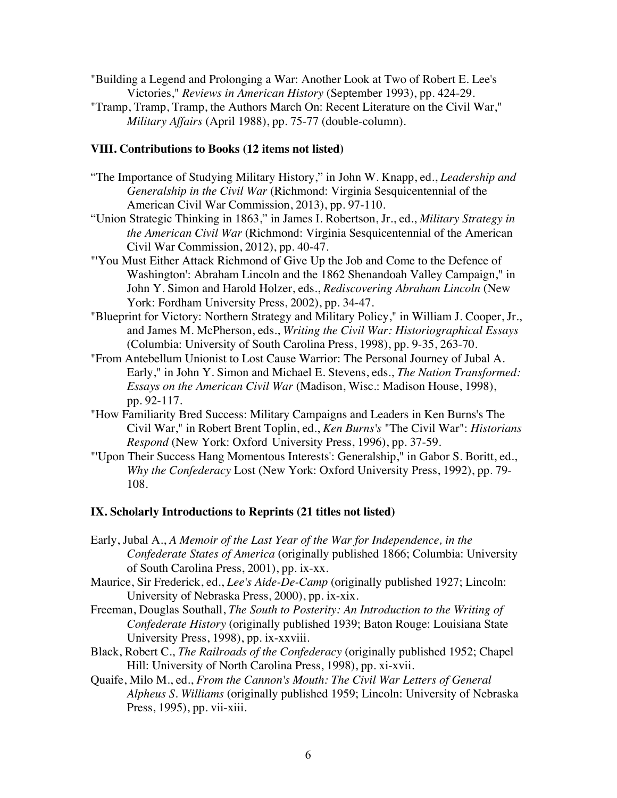"Building a Legend and Prolonging a War: Another Look at Two of Robert E. Lee's Victories," *Reviews in American History* (September 1993), pp. 424-29.

"Tramp, Tramp, Tramp, the Authors March On: Recent Literature on the Civil War," *Military Affairs* (April 1988), pp. 75-77 (double-column).

### **VIII. Contributions to Books (12 items not listed)**

- "The Importance of Studying Military History," in John W. Knapp, ed., *Leadership and Generalship in the Civil War* (Richmond: Virginia Sesquicentennial of the American Civil War Commission, 2013), pp. 97-110.
- "Union Strategic Thinking in 1863," in James I. Robertson, Jr., ed., *Military Strategy in the American Civil War* (Richmond: Virginia Sesquicentennial of the American Civil War Commission, 2012), pp. 40-47.
- "'You Must Either Attack Richmond of Give Up the Job and Come to the Defence of Washington': Abraham Lincoln and the 1862 Shenandoah Valley Campaign," in John Y. Simon and Harold Holzer, eds., *Rediscovering Abraham Lincoln* (New York: Fordham University Press, 2002), pp. 34-47.
- "Blueprint for Victory: Northern Strategy and Military Policy," in William J. Cooper, Jr., and James M. McPherson, eds., *Writing the Civil War: Historiographical Essays* (Columbia: University of South Carolina Press, 1998), pp. 9-35, 263-70.
- "From Antebellum Unionist to Lost Cause Warrior: The Personal Journey of Jubal A. Early," in John Y. Simon and Michael E. Stevens, eds., *The Nation Transformed: Essays on the American Civil War* (Madison, Wisc.: Madison House, 1998), pp. 92-117.
- "How Familiarity Bred Success: Military Campaigns and Leaders in Ken Burns's The Civil War," in Robert Brent Toplin, ed., *Ken Burns's* "The Civil War": *Historians Respond* (New York: Oxford University Press, 1996), pp. 37-59.
- "'Upon Their Success Hang Momentous Interests': Generalship," in Gabor S. Boritt, ed., *Why the Confederacy* Lost (New York: Oxford University Press, 1992), pp. 79- 108.

### **IX. Scholarly Introductions to Reprints (21 titles not listed)**

- Early, Jubal A., *A Memoir of the Last Year of the War for Independence, in the Confederate States of America* (originally published 1866; Columbia: University of South Carolina Press, 2001), pp. ix-xx.
- Maurice, Sir Frederick, ed., *Lee's Aide-De-Camp* (originally published 1927; Lincoln: University of Nebraska Press, 2000), pp. ix-xix.
- Freeman, Douglas Southall, *The South to Posterity: An Introduction to the Writing of Confederate History* (originally published 1939; Baton Rouge: Louisiana State University Press, 1998), pp. ix-xxviii.
- Black, Robert C., *The Railroads of the Confederacy* (originally published 1952; Chapel Hill: University of North Carolina Press, 1998), pp. xi-xvii.
- Quaife, Milo M., ed., *From the Cannon's Mouth: The Civil War Letters of General Alpheus S. Williams* (originally published 1959; Lincoln: University of Nebraska Press, 1995), pp. vii-xiii.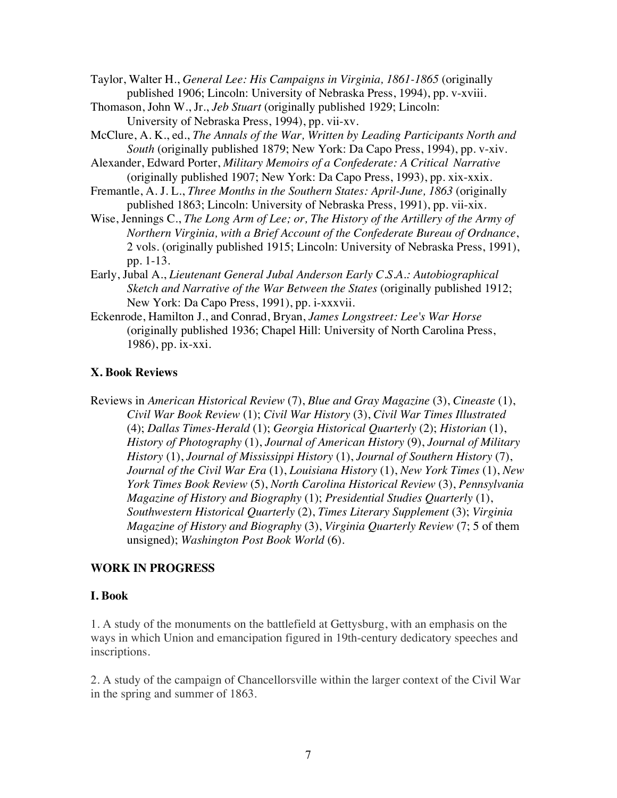Taylor, Walter H., *General Lee: His Campaigns in Virginia, 1861-1865* (originally published 1906; Lincoln: University of Nebraska Press, 1994), pp. v-xviii.

- Thomason, John W., Jr., *Jeb Stuart* (originally published 1929; Lincoln: University of Nebraska Press, 1994), pp. vii-xv.
- McClure, A. K., ed., *The Annals of the War, Written by Leading Participants North and South* (originally published 1879; New York: Da Capo Press, 1994), pp. v-xiv.

Alexander, Edward Porter, *Military Memoirs of a Confederate: A Critical Narrative* (originally published 1907; New York: Da Capo Press, 1993), pp. xix-xxix.

Fremantle, A. J. L., *Three Months in the Southern States: April-June, 1863* (originally published 1863; Lincoln: University of Nebraska Press, 1991), pp. vii-xix.

- Wise, Jennings C., *The Long Arm of Lee; or, The History of the Artillery of the Army of Northern Virginia, with a Brief Account of the Confederate Bureau of Ordnance*, 2 vols. (originally published 1915; Lincoln: University of Nebraska Press, 1991), pp. 1-13.
- Early, Jubal A., *Lieutenant General Jubal Anderson Early C.S.A.: Autobiographical Sketch and Narrative of the War Between the States* (originally published 1912; New York: Da Capo Press, 1991), pp. i-xxxvii.
- Eckenrode, Hamilton J., and Conrad, Bryan, *James Longstreet: Lee's War Horse* (originally published 1936; Chapel Hill: University of North Carolina Press, 1986), pp. ix-xxi.

# **X. Book Reviews**

Reviews in *American Historical Review* (7), *Blue and Gray Magazine* (3), *Cineaste* (1), *Civil War Book Review* (1); *Civil War History* (3), *Civil War Times Illustrated* (4); *Dallas Times-Herald* (1); *Georgia Historical Quarterly* (2); *Historian* (1), *History of Photography* (1), *Journal of American History* (9), *Journal of Military History* (1), *Journal of Mississippi History* (1), *Journal of Southern History* (7), *Journal of the Civil War Era* (1), *Louisiana History* (1), *New York Times* (1), *New York Times Book Review* (5), *North Carolina Historical Review* (3), *Pennsylvania Magazine of History and Biography* (1); *Presidential Studies Quarterly* (1), *Southwestern Historical Quarterly* (2), *Times Literary Supplement* (3); *Virginia Magazine of History and Biography* (3), *Virginia Quarterly Review* (7; 5 of them unsigned); *Washington Post Book World* (6).

# **WORK IN PROGRESS**

# **I. Book**

1. A study of the monuments on the battlefield at Gettysburg, with an emphasis on the ways in which Union and emancipation figured in 19th-century dedicatory speeches and inscriptions.

2. A study of the campaign of Chancellorsville within the larger context of the Civil War in the spring and summer of 1863.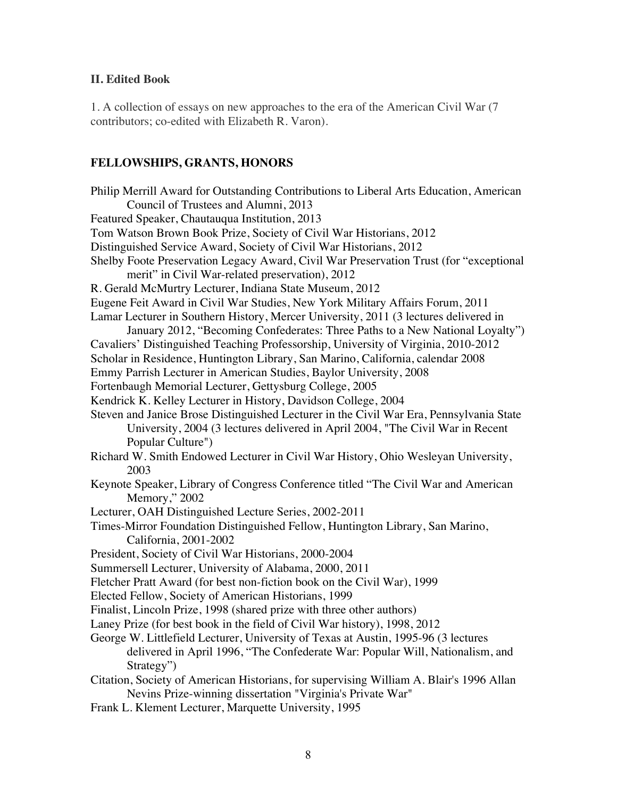### **II. Edited Book**

1. A collection of essays on new approaches to the era of the American Civil War (7 contributors; co-edited with Elizabeth R. Varon).

### **FELLOWSHIPS, GRANTS, HONORS**

Philip Merrill Award for Outstanding Contributions to Liberal Arts Education, American Council of Trustees and Alumni, 2013 Featured Speaker, Chautauqua Institution, 2013 Tom Watson Brown Book Prize, Society of Civil War Historians, 2012 Distinguished Service Award, Society of Civil War Historians, 2012 Shelby Foote Preservation Legacy Award, Civil War Preservation Trust (for "exceptional merit" in Civil War-related preservation), 2012 R. Gerald McMurtry Lecturer, Indiana State Museum, 2012 Eugene Feit Award in Civil War Studies, New York Military Affairs Forum, 2011 Lamar Lecturer in Southern History, Mercer University, 2011 (3 lectures delivered in January 2012, "Becoming Confederates: Three Paths to a New National Loyalty") Cavaliers' Distinguished Teaching Professorship, University of Virginia, 2010-2012 Scholar in Residence, Huntington Library, San Marino, California, calendar 2008 Emmy Parrish Lecturer in American Studies, Baylor University, 2008 Fortenbaugh Memorial Lecturer, Gettysburg College, 2005 Kendrick K. Kelley Lecturer in History, Davidson College, 2004 Steven and Janice Brose Distinguished Lecturer in the Civil War Era, Pennsylvania State University, 2004 (3 lectures delivered in April 2004, "The Civil War in Recent Popular Culture") Richard W. Smith Endowed Lecturer in Civil War History, Ohio Wesleyan University, 2003 Keynote Speaker, Library of Congress Conference titled "The Civil War and American Memory," 2002 Lecturer, OAH Distinguished Lecture Series, 2002-2011 Times-Mirror Foundation Distinguished Fellow, Huntington Library, San Marino, California, 2001-2002 President, Society of Civil War Historians, 2000-2004 Summersell Lecturer, University of Alabama, 2000, 2011 Fletcher Pratt Award (for best non-fiction book on the Civil War), 1999 Elected Fellow, Society of American Historians, 1999 Finalist, Lincoln Prize, 1998 (shared prize with three other authors) Laney Prize (for best book in the field of Civil War history), 1998, 2012 George W. Littlefield Lecturer, University of Texas at Austin, 1995-96 (3 lectures delivered in April 1996, "The Confederate War: Popular Will, Nationalism, and Strategy") Citation, Society of American Historians, for supervising William A. Blair's 1996 Allan Nevins Prize-winning dissertation "Virginia's Private War" Frank L. Klement Lecturer, Marquette University, 1995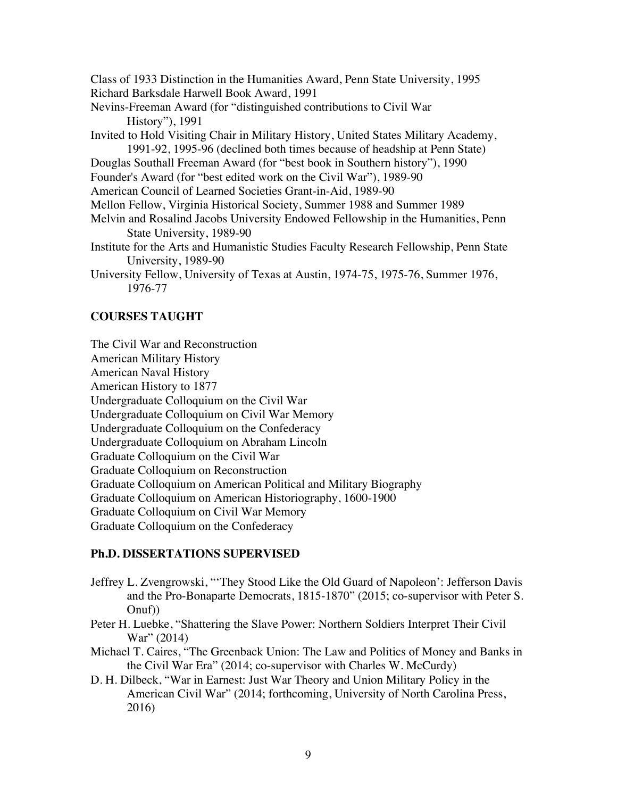Class of 1933 Distinction in the Humanities Award, Penn State University, 1995 Richard Barksdale Harwell Book Award, 1991

- Nevins-Freeman Award (for "distinguished contributions to Civil War History"), 1991
- Invited to Hold Visiting Chair in Military History, United States Military Academy, 1991-92, 1995-96 (declined both times because of headship at Penn State)

Douglas Southall Freeman Award (for "best book in Southern history"), 1990

Founder's Award (for "best edited work on the Civil War"), 1989-90

American Council of Learned Societies Grant-in-Aid, 1989-90

- Mellon Fellow, Virginia Historical Society, Summer 1988 and Summer 1989
- Melvin and Rosalind Jacobs University Endowed Fellowship in the Humanities, Penn State University, 1989-90
- Institute for the Arts and Humanistic Studies Faculty Research Fellowship, Penn State University, 1989-90

University Fellow, University of Texas at Austin, 1974-75, 1975-76, Summer 1976, 1976-77

# **COURSES TAUGHT**

The Civil War and Reconstruction American Military History American Naval History American History to 1877 Undergraduate Colloquium on the Civil War Undergraduate Colloquium on Civil War Memory Undergraduate Colloquium on the Confederacy Undergraduate Colloquium on Abraham Lincoln Graduate Colloquium on the Civil War Graduate Colloquium on Reconstruction Graduate Colloquium on American Political and Military Biography Graduate Colloquium on American Historiography, 1600-1900 Graduate Colloquium on Civil War Memory Graduate Colloquium on the Confederacy

# **Ph.D. DISSERTATIONS SUPERVISED**

- Jeffrey L. Zvengrowski, "'They Stood Like the Old Guard of Napoleon': Jefferson Davis and the Pro-Bonaparte Democrats, 1815-1870" (2015; co-supervisor with Peter S. Onuf))
- Peter H. Luebke, "Shattering the Slave Power: Northern Soldiers Interpret Their Civil War" (2014)
- Michael T. Caires, "The Greenback Union: The Law and Politics of Money and Banks in the Civil War Era" (2014; co-supervisor with Charles W. McCurdy)
- D. H. Dilbeck, "War in Earnest: Just War Theory and Union Military Policy in the American Civil War" (2014; forthcoming, University of North Carolina Press, 2016)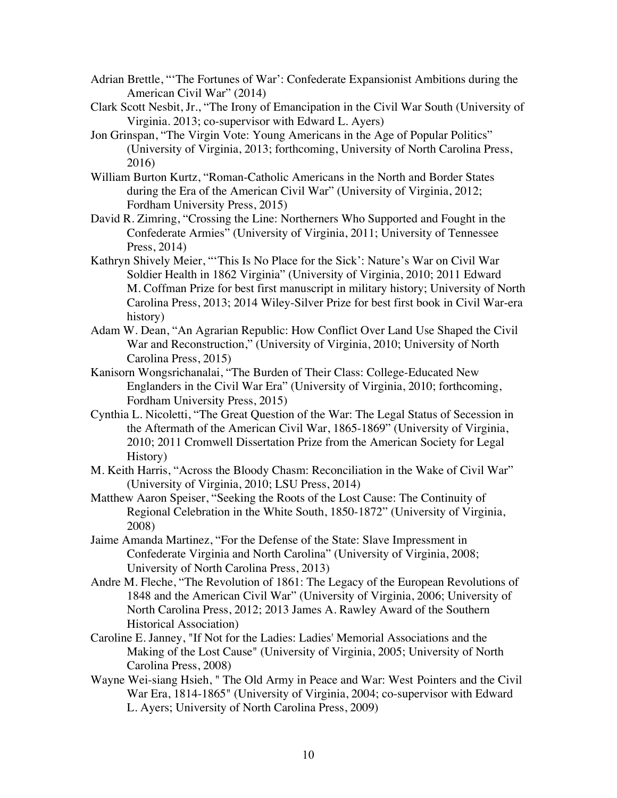- Adrian Brettle, "'The Fortunes of War': Confederate Expansionist Ambitions during the American Civil War" (2014)
- Clark Scott Nesbit, Jr., "The Irony of Emancipation in the Civil War South (University of Virginia. 2013; co-supervisor with Edward L. Ayers)
- Jon Grinspan, "The Virgin Vote: Young Americans in the Age of Popular Politics" (University of Virginia, 2013; forthcoming, University of North Carolina Press, 2016)
- William Burton Kurtz, "Roman-Catholic Americans in the North and Border States during the Era of the American Civil War" (University of Virginia, 2012; Fordham University Press, 2015)
- David R. Zimring, "Crossing the Line: Northerners Who Supported and Fought in the Confederate Armies" (University of Virginia, 2011; University of Tennessee Press, 2014)
- Kathryn Shively Meier, "'This Is No Place for the Sick': Nature's War on Civil War Soldier Health in 1862 Virginia" (University of Virginia, 2010; 2011 Edward M. Coffman Prize for best first manuscript in military history; University of North Carolina Press, 2013; 2014 Wiley-Silver Prize for best first book in Civil War-era history)
- Adam W. Dean, "An Agrarian Republic: How Conflict Over Land Use Shaped the Civil War and Reconstruction," (University of Virginia, 2010; University of North Carolina Press, 2015)
- Kanisorn Wongsrichanalai, "The Burden of Their Class: College-Educated New Englanders in the Civil War Era" (University of Virginia, 2010; forthcoming, Fordham University Press, 2015)
- Cynthia L. Nicoletti, "The Great Question of the War: The Legal Status of Secession in the Aftermath of the American Civil War, 1865-1869" (University of Virginia, 2010; 2011 Cromwell Dissertation Prize from the American Society for Legal History)
- M. Keith Harris, "Across the Bloody Chasm: Reconciliation in the Wake of Civil War" (University of Virginia, 2010; LSU Press, 2014)
- Matthew Aaron Speiser, "Seeking the Roots of the Lost Cause: The Continuity of Regional Celebration in the White South, 1850-1872" (University of Virginia, 2008)
- Jaime Amanda Martinez, "For the Defense of the State: Slave Impressment in Confederate Virginia and North Carolina" (University of Virginia, 2008; University of North Carolina Press, 2013)
- Andre M. Fleche, "The Revolution of 1861: The Legacy of the European Revolutions of 1848 and the American Civil War" (University of Virginia, 2006; University of North Carolina Press, 2012; 2013 James A. Rawley Award of the Southern Historical Association)
- Caroline E. Janney, "If Not for the Ladies: Ladies' Memorial Associations and the Making of the Lost Cause" (University of Virginia, 2005; University of North Carolina Press, 2008)
- Wayne Wei-siang Hsieh, " The Old Army in Peace and War: West Pointers and the Civil War Era, 1814-1865" (University of Virginia, 2004; co-supervisor with Edward L. Ayers; University of North Carolina Press, 2009)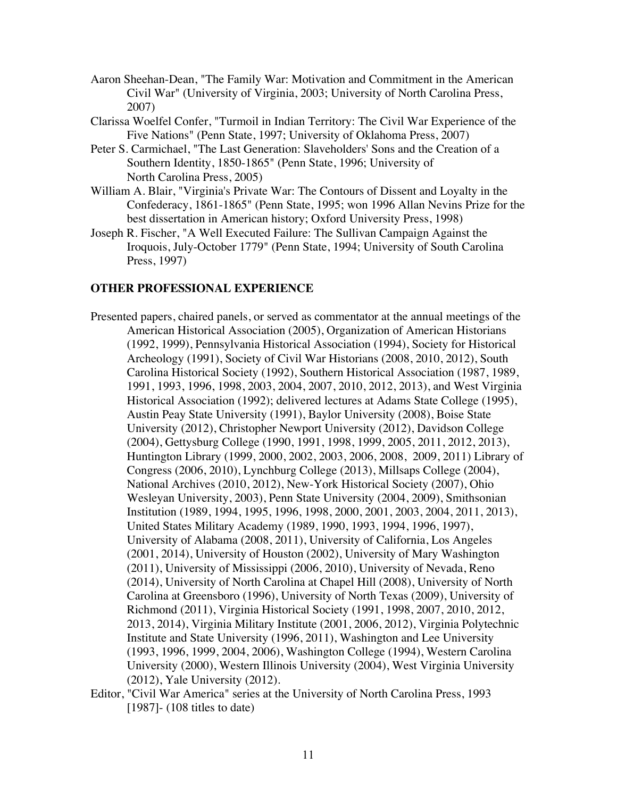- Aaron Sheehan-Dean, "The Family War: Motivation and Commitment in the American Civil War" (University of Virginia, 2003; University of North Carolina Press, 2007)
- Clarissa Woelfel Confer, "Turmoil in Indian Territory: The Civil War Experience of the Five Nations" (Penn State, 1997; University of Oklahoma Press, 2007)
- Peter S. Carmichael, "The Last Generation: Slaveholders' Sons and the Creation of a Southern Identity, 1850-1865" (Penn State, 1996; University of North Carolina Press, 2005)
- William A. Blair, "Virginia's Private War: The Contours of Dissent and Loyalty in the Confederacy, 1861-1865" (Penn State, 1995; won 1996 Allan Nevins Prize for the best dissertation in American history; Oxford University Press, 1998)
- Joseph R. Fischer, "A Well Executed Failure: The Sullivan Campaign Against the Iroquois, July-October 1779" (Penn State, 1994; University of South Carolina Press, 1997)

# **OTHER PROFESSIONAL EXPERIENCE**

- Presented papers, chaired panels, or served as commentator at the annual meetings of the American Historical Association (2005), Organization of American Historians (1992, 1999), Pennsylvania Historical Association (1994), Society for Historical Archeology (1991), Society of Civil War Historians (2008, 2010, 2012), South Carolina Historical Society (1992), Southern Historical Association (1987, 1989, 1991, 1993, 1996, 1998, 2003, 2004, 2007, 2010, 2012, 2013), and West Virginia Historical Association (1992); delivered lectures at Adams State College (1995), Austin Peay State University (1991), Baylor University (2008), Boise State University (2012), Christopher Newport University (2012), Davidson College (2004), Gettysburg College (1990, 1991, 1998, 1999, 2005, 2011, 2012, 2013), Huntington Library (1999, 2000, 2002, 2003, 2006, 2008, 2009, 2011) Library of Congress (2006, 2010), Lynchburg College (2013), Millsaps College (2004), National Archives (2010, 2012), New-York Historical Society (2007), Ohio Wesleyan University, 2003), Penn State University (2004, 2009), Smithsonian Institution (1989, 1994, 1995, 1996, 1998, 2000, 2001, 2003, 2004, 2011, 2013), United States Military Academy (1989, 1990, 1993, 1994, 1996, 1997), University of Alabama (2008, 2011), University of California, Los Angeles (2001, 2014), University of Houston (2002), University of Mary Washington (2011), University of Mississippi (2006, 2010), University of Nevada, Reno (2014), University of North Carolina at Chapel Hill (2008), University of North Carolina at Greensboro (1996), University of North Texas (2009), University of Richmond (2011), Virginia Historical Society (1991, 1998, 2007, 2010, 2012, 2013, 2014), Virginia Military Institute (2001, 2006, 2012), Virginia Polytechnic Institute and State University (1996, 2011), Washington and Lee University (1993, 1996, 1999, 2004, 2006), Washington College (1994), Western Carolina University (2000), Western Illinois University (2004), West Virginia University (2012), Yale University (2012).
- Editor, "Civil War America" series at the University of North Carolina Press, 1993 [1987] - (108 titles to date)